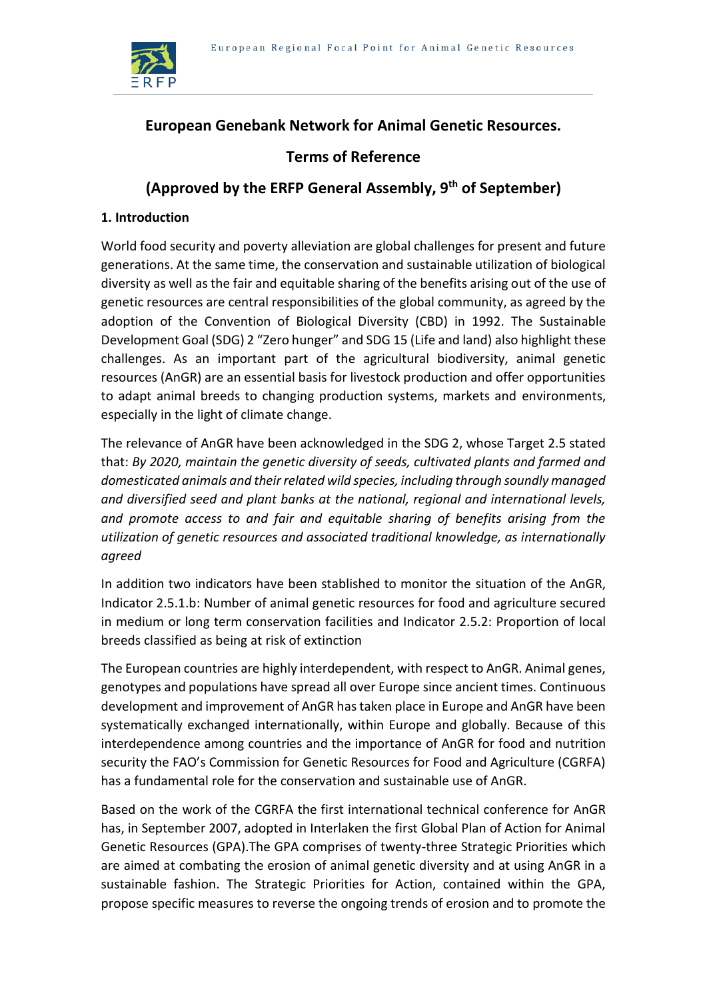

# **European Genebank Network for Animal Genetic Resources.**

# **Terms of Reference**

# **(Approved by the ERFP General Assembly, 9th of September)**

## **1. Introduction**

World food security and poverty alleviation are global challenges for present and future generations. At the same time, the conservation and sustainable utilization of biological diversity as well as the fair and equitable sharing of the benefits arising out of the use of genetic resources are central responsibilities of the global community, as agreed by the adoption of the Convention of Biological Diversity (CBD) in 1992. The Sustainable Development Goal (SDG) 2 "Zero hunger" and SDG 15 (Life and land) also highlight these challenges. As an important part of the agricultural biodiversity, animal genetic resources (AnGR) are an essential basis for livestock production and offer opportunities to adapt animal breeds to changing production systems, markets and environments, especially in the light of climate change.

The relevance of AnGR have been acknowledged in the SDG 2, whose Target 2.5 stated that: *By 2020, maintain the genetic diversity of seeds, cultivated plants and farmed and domesticated animals and their related wild species, including through soundly managed and diversified seed and plant banks at the national, regional and international levels, and promote access to and fair and equitable sharing of benefits arising from the utilization of genetic resources and associated traditional knowledge, as internationally agreed*

In addition two indicators have been stablished to monitor the situation of the AnGR, Indicator 2.5.1.b: Number of animal genetic resources for food and agriculture secured in medium or long term conservation facilities and Indicator 2.5.2: Proportion of local breeds classified as being at risk of extinction

The European countries are highly interdependent, with respect to AnGR. Animal genes, genotypes and populations have spread all over Europe since ancient times. Continuous development and improvement of AnGR has taken place in Europe and AnGR have been systematically exchanged internationally, within Europe and globally. Because of this interdependence among countries and the importance of AnGR for food and nutrition security the FAO's Commission for Genetic Resources for Food and Agriculture (CGRFA) has a fundamental role for the conservation and sustainable use of AnGR.

Based on the work of the CGRFA the first international technical conference for AnGR has, in September 2007, adopted in Interlaken the first Global Plan of Action for Animal Genetic Resources (GPA).The GPA comprises of twenty-three Strategic Priorities which are aimed at combating the erosion of animal genetic diversity and at using AnGR in a sustainable fashion. The Strategic Priorities for Action, contained within the GPA, propose specific measures to reverse the ongoing trends of erosion and to promote the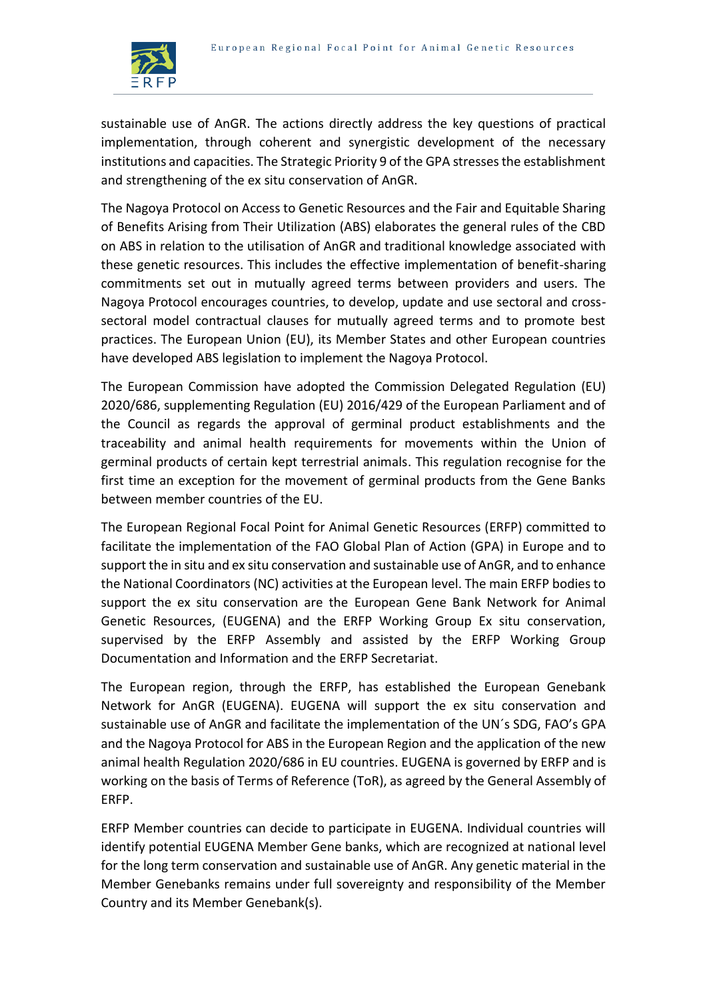

sustainable use of AnGR. The actions directly address the key questions of practical implementation, through coherent and synergistic development of the necessary institutions and capacities. The Strategic Priority 9 of the GPA stresses the establishment and strengthening of the ex situ conservation of AnGR.

The Nagoya Protocol on Access to Genetic Resources and the Fair and Equitable Sharing of Benefits Arising from Their Utilization (ABS) elaborates the general rules of the CBD on ABS in relation to the utilisation of AnGR and traditional knowledge associated with these genetic resources. This includes the effective implementation of benefit-sharing commitments set out in mutually agreed terms between providers and users. The Nagoya Protocol encourages countries, to develop, update and use sectoral and crosssectoral model contractual clauses for mutually agreed terms and to promote best practices. The European Union (EU), its Member States and other European countries have developed ABS legislation to implement the Nagoya Protocol.

The European Commission have adopted the Commission Delegated Regulation (EU) 2020/686, supplementing Regulation (EU) 2016/429 of the European Parliament and of the Council as regards the approval of germinal product establishments and the traceability and animal health requirements for movements within the Union of germinal products of certain kept terrestrial animals. This regulation recognise for the first time an exception for the movement of germinal products from the Gene Banks between member countries of the EU.

The European Regional Focal Point for Animal Genetic Resources (ERFP) committed to facilitate the implementation of the FAO Global Plan of Action (GPA) in Europe and to support the in situ and ex situ conservation and sustainable use of AnGR, and to enhance the National Coordinators (NC) activities at the European level. The main ERFP bodies to support the ex situ conservation are the European Gene Bank Network for Animal Genetic Resources, (EUGENA) and the ERFP Working Group Ex situ conservation, supervised by the ERFP Assembly and assisted by the ERFP Working Group Documentation and Information and the ERFP Secretariat.

The European region, through the ERFP, has established the European Genebank Network for AnGR (EUGENA). EUGENA will support the ex situ conservation and sustainable use of AnGR and facilitate the implementation of the UN´s SDG, FAO's GPA and the Nagoya Protocol for ABS in the European Region and the application of the new animal health Regulation 2020/686 in EU countries. EUGENA is governed by ERFP and is working on the basis of Terms of Reference (ToR), as agreed by the General Assembly of ERFP.

ERFP Member countries can decide to participate in EUGENA. Individual countries will identify potential EUGENA Member Gene banks, which are recognized at national level for the long term conservation and sustainable use of AnGR. Any genetic material in the Member Genebanks remains under full sovereignty and responsibility of the Member Country and its Member Genebank(s).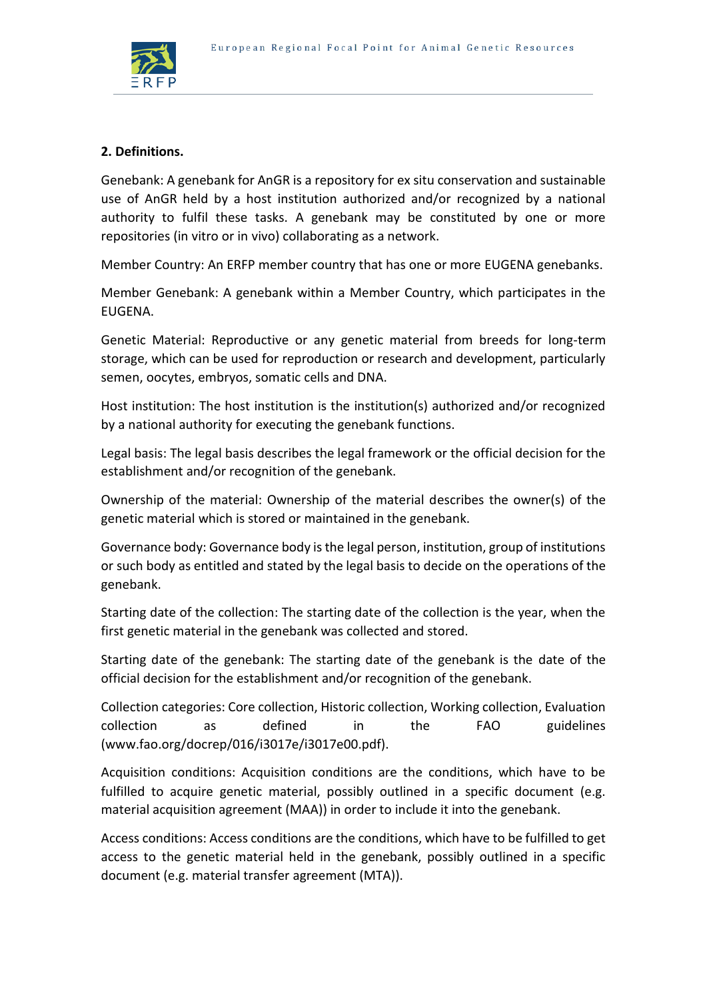

## **2. Definitions.**

Genebank: A genebank for AnGR is a repository for ex situ conservation and sustainable use of AnGR held by a host institution authorized and/or recognized by a national authority to fulfil these tasks. A genebank may be constituted by one or more repositories (in vitro or in vivo) collaborating as a network.

Member Country: An ERFP member country that has one or more EUGENA genebanks.

Member Genebank: A genebank within a Member Country, which participates in the EUGENA.

Genetic Material: Reproductive or any genetic material from breeds for long-term storage, which can be used for reproduction or research and development, particularly semen, oocytes, embryos, somatic cells and DNA.

Host institution: The host institution is the institution(s) authorized and/or recognized by a national authority for executing the genebank functions.

Legal basis: The legal basis describes the legal framework or the official decision for the establishment and/or recognition of the genebank.

Ownership of the material: Ownership of the material describes the owner(s) of the genetic material which is stored or maintained in the genebank.

Governance body: Governance body is the legal person, institution, group of institutions or such body as entitled and stated by the legal basis to decide on the operations of the genebank.

Starting date of the collection: The starting date of the collection is the year, when the first genetic material in the genebank was collected and stored.

Starting date of the genebank: The starting date of the genebank is the date of the official decision for the establishment and/or recognition of the genebank.

Collection categories: Core collection, Historic collection, Working collection, Evaluation collection as defined in the FAO guidelines (www.fao.org/docrep/016/i3017e/i3017e00.pdf).

Acquisition conditions: Acquisition conditions are the conditions, which have to be fulfilled to acquire genetic material, possibly outlined in a specific document (e.g. material acquisition agreement (MAA)) in order to include it into the genebank.

Access conditions: Access conditions are the conditions, which have to be fulfilled to get access to the genetic material held in the genebank, possibly outlined in a specific document (e.g. material transfer agreement (MTA)).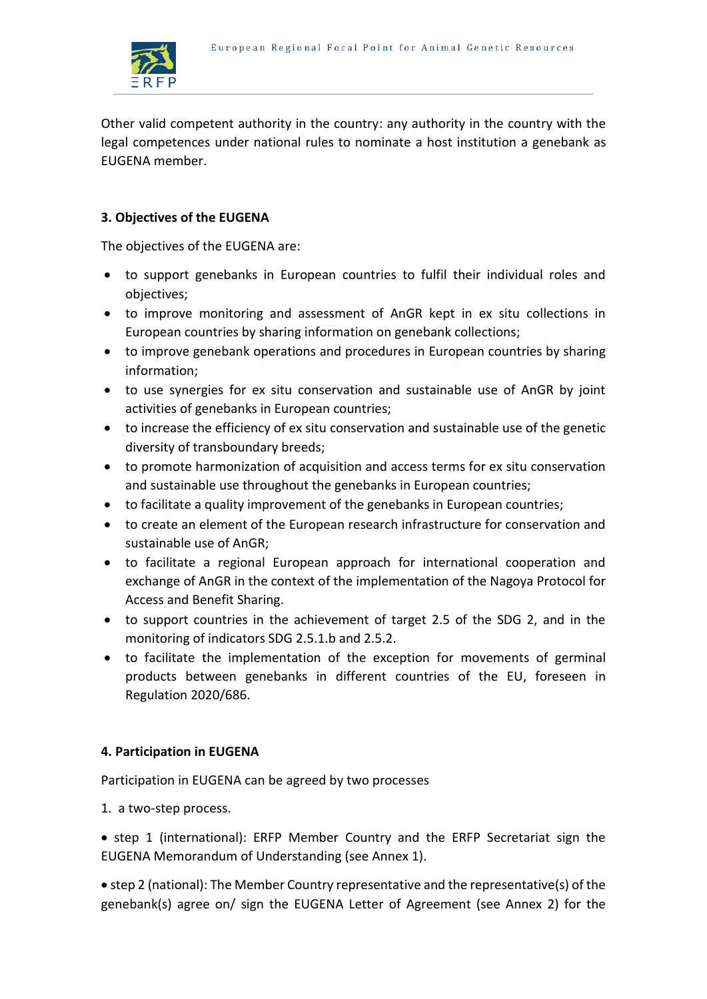

Other valid competent authority in the country: any authority in the country with the legal competences under national rules to nominate a host institution a genebank as EUGENA member.

## **3. Objectives of the EUGENA**

The objectives of the EUGENA are:

- to support genebanks in European countries to fulfil their individual roles and objectives;
- to improve monitoring and assessment of AnGR kept in ex situ collections in European countries by sharing information on genebank collections;
- to improve genebank operations and procedures in European countries by sharing information;
- to use synergies for ex situ conservation and sustainable use of AnGR by joint activities of genebanks in European countries;
- to increase the efficiency of ex situ conservation and sustainable use of the genetic diversity of transboundary breeds;
- to promote harmonization of acquisition and access terms for ex situ conservation and sustainable use throughout the genebanks in European countries;
- to facilitate a quality improvement of the genebanks in European countries;
- to create an element of the European research infrastructure for conservation and sustainable use of AnGR;
- to facilitate a regional European approach for international cooperation and exchange of AnGR in the context of the implementation of the Nagoya Protocol for Access and Benefit Sharing.
- to support countries in the achievement of target 2.5 of the SDG 2, and in the monitoring of indicators SDG 2.5.1.b and 2.5.2.
- to facilitate the implementation of the exception for movements of germinal products between genebanks in different countries of the EU, foreseen in Regulation 2020/686.

### **4. Participation in EUGENA**

Participation in EUGENA can be agreed by two processes

1. a two-step process.

• step 1 (international): ERFP Member Country and the ERFP Secretariat sign the EUGENA Memorandum of Understanding (see Annex 1).

 step 2 (national): The Member Country representative and the representative(s) of the genebank(s) agree on/ sign the EUGENA Letter of Agreement (see Annex 2) for the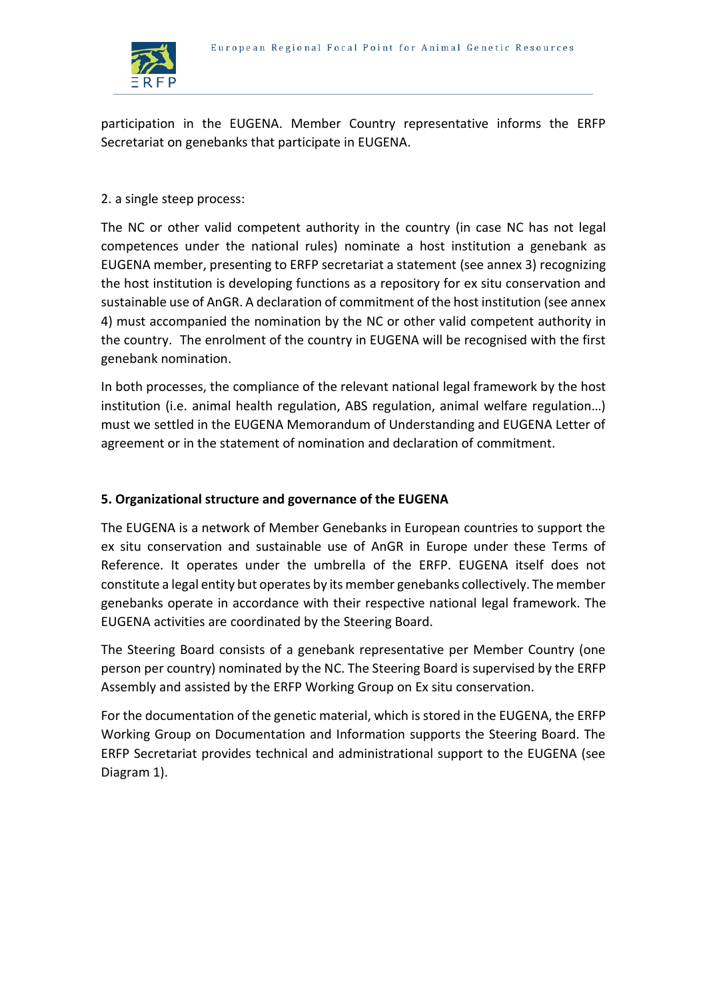

participation in the EUGENA. Member Country representative informs the ERFP Secretariat on genebanks that participate in EUGENA.

# 2. a single steep process:

The NC or other valid competent authority in the country (in case NC has not legal competences under the national rules) nominate a host institution a genebank as EUGENA member, presenting to ERFP secretariat a statement (see annex 3) recognizing the host institution is developing functions as a repository for ex situ conservation and sustainable use of AnGR. A declaration of commitment of the host institution (see annex 4) must accompanied the nomination by the NC or other valid competent authority in the country. The enrolment of the country in EUGENA will be recognised with the first genebank nomination.

In both processes, the compliance of the relevant national legal framework by the host institution (i.e. animal health regulation, ABS regulation, animal welfare regulation…) must we settled in the EUGENA Memorandum of Understanding and EUGENA Letter of agreement or in the statement of nomination and declaration of commitment.

# **5. Organizational structure and governance of the EUGENA**

The EUGENA is a network of Member Genebanks in European countries to support the ex situ conservation and sustainable use of AnGR in Europe under these Terms of Reference. It operates under the umbrella of the ERFP. EUGENA itself does not constitute a legal entity but operates by its member genebanks collectively. The member genebanks operate in accordance with their respective national legal framework. The EUGENA activities are coordinated by the Steering Board.

The Steering Board consists of a genebank representative per Member Country (one person per country) nominated by the NC. The Steering Board is supervised by the ERFP Assembly and assisted by the ERFP Working Group on Ex situ conservation.

For the documentation of the genetic material, which is stored in the EUGENA, the ERFP Working Group on Documentation and Information supports the Steering Board. The ERFP Secretariat provides technical and administrational support to the EUGENA (see Diagram 1).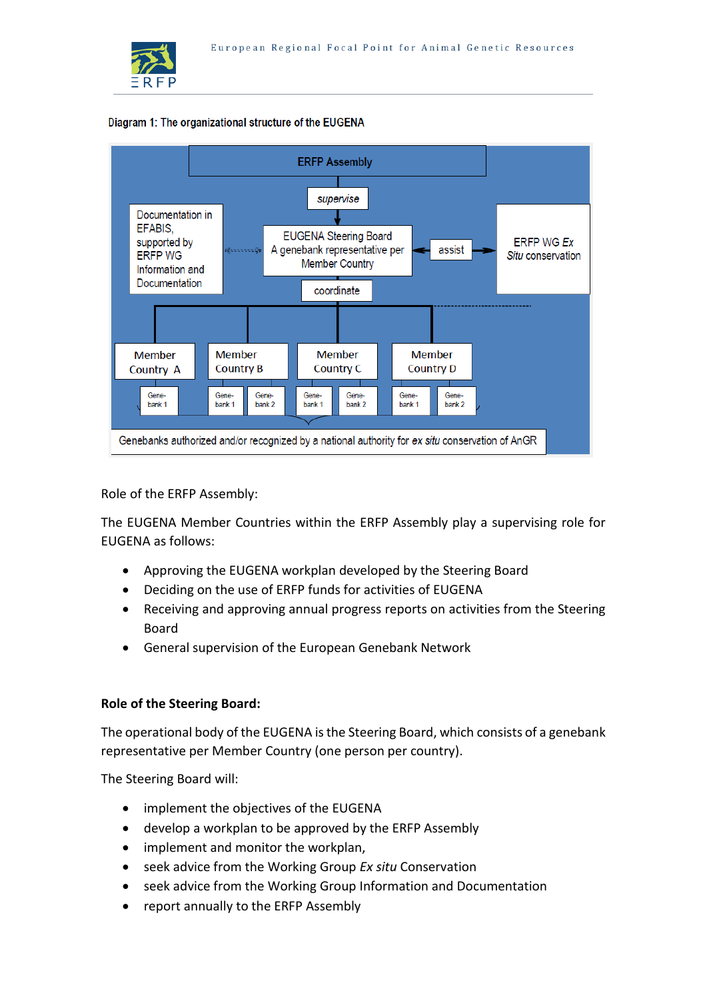





Role of the ERFP Assembly:

The EUGENA Member Countries within the ERFP Assembly play a supervising role for EUGENA as follows:

- Approving the EUGENA workplan developed by the Steering Board
- Deciding on the use of ERFP funds for activities of EUGENA
- Receiving and approving annual progress reports on activities from the Steering Board
- General supervision of the European Genebank Network

# **Role of the Steering Board:**

The operational body of the EUGENA is the Steering Board, which consists of a genebank representative per Member Country (one person per country).

The Steering Board will:

- implement the objectives of the EUGENA
- develop a workplan to be approved by the ERFP Assembly
- implement and monitor the workplan,
- seek advice from the Working Group *Ex situ* Conservation
- seek advice from the Working Group Information and Documentation
- report annually to the ERFP Assembly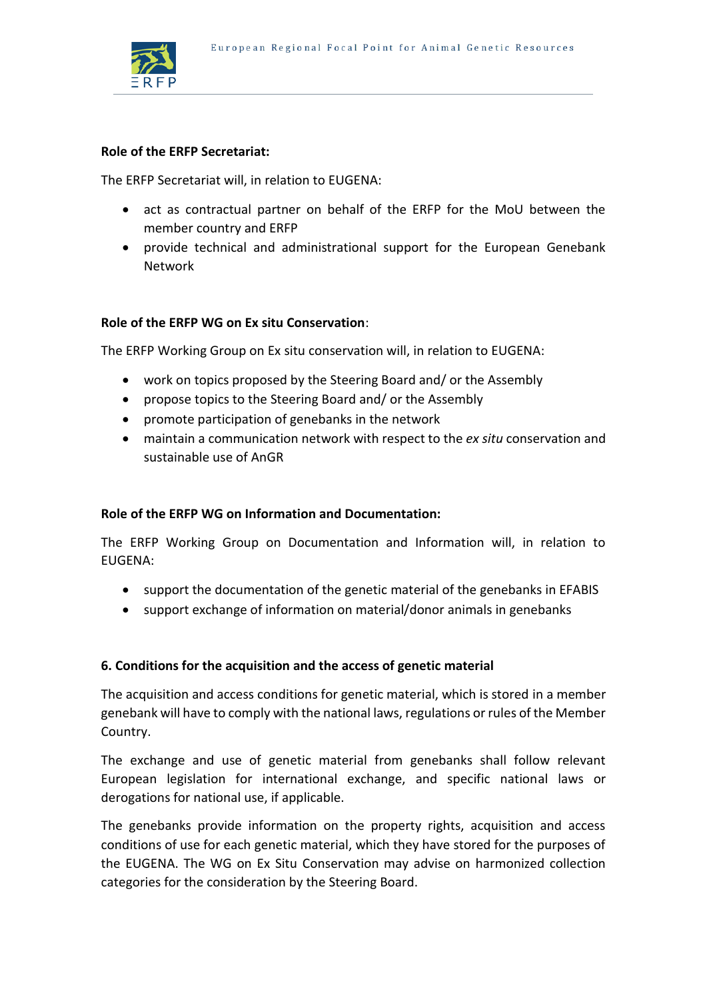

#### **Role of the ERFP Secretariat:**

The ERFP Secretariat will, in relation to EUGENA:

- act as contractual partner on behalf of the ERFP for the MoU between the member country and ERFP
- provide technical and administrational support for the European Genebank Network

### **Role of the ERFP WG on Ex situ Conservation**:

The ERFP Working Group on Ex situ conservation will, in relation to EUGENA:

- work on topics proposed by the Steering Board and/ or the Assembly
- propose topics to the Steering Board and/ or the Assembly
- promote participation of genebanks in the network
- maintain a communication network with respect to the *ex situ* conservation and sustainable use of AnGR

#### **Role of the ERFP WG on Information and Documentation:**

The ERFP Working Group on Documentation and Information will, in relation to EUGENA:

- support the documentation of the genetic material of the genebanks in EFABIS
- support exchange of information on material/donor animals in genebanks

### **6. Conditions for the acquisition and the access of genetic material**

The acquisition and access conditions for genetic material, which is stored in a member genebank will have to comply with the national laws, regulations or rules of the Member Country.

The exchange and use of genetic material from genebanks shall follow relevant European legislation for international exchange, and specific national laws or derogations for national use, if applicable.

The genebanks provide information on the property rights, acquisition and access conditions of use for each genetic material, which they have stored for the purposes of the EUGENA. The WG on Ex Situ Conservation may advise on harmonized collection categories for the consideration by the Steering Board.